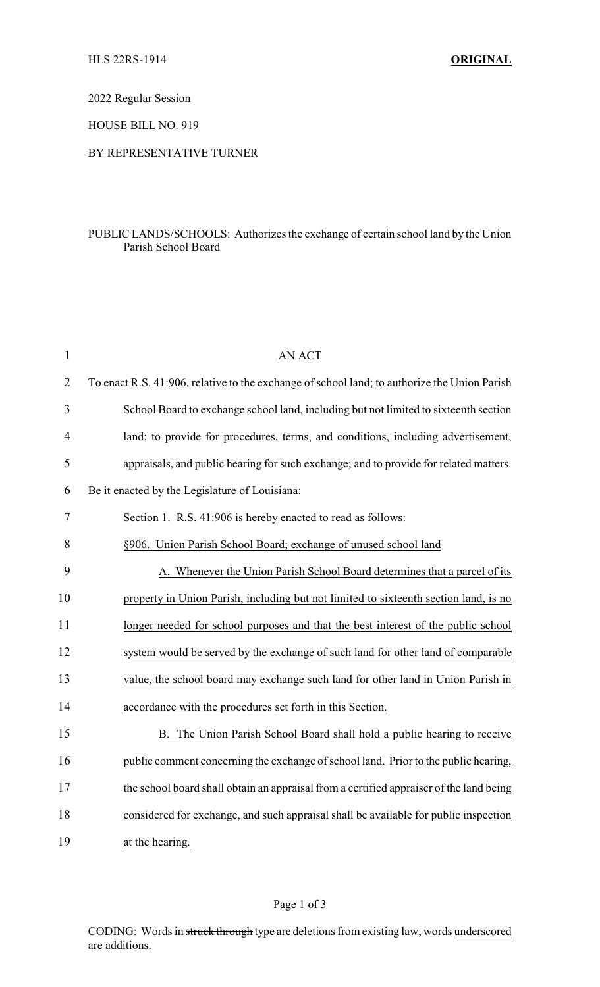2022 Regular Session

HOUSE BILL NO. 919

## BY REPRESENTATIVE TURNER

## PUBLIC LANDS/SCHOOLS: Authorizes the exchange of certain school land by the Union Parish School Board

| $\mathbf{1}$   | <b>AN ACT</b>                                                                                |
|----------------|----------------------------------------------------------------------------------------------|
| $\overline{2}$ | To enact R.S. 41:906, relative to the exchange of school land; to authorize the Union Parish |
| 3              | School Board to exchange school land, including but not limited to sixteenth section         |
| $\overline{4}$ | land; to provide for procedures, terms, and conditions, including advertisement,             |
| 5              | appraisals, and public hearing for such exchange; and to provide for related matters.        |
| 6              | Be it enacted by the Legislature of Louisiana:                                               |
| 7              | Section 1. R.S. 41:906 is hereby enacted to read as follows:                                 |
| 8              | §906. Union Parish School Board; exchange of unused school land                              |
| 9              | A. Whenever the Union Parish School Board determines that a parcel of its                    |
| 10             | property in Union Parish, including but not limited to sixteenth section land, is no         |
| 11             | longer needed for school purposes and that the best interest of the public school            |
| 12             | system would be served by the exchange of such land for other land of comparable             |
| 13             | value, the school board may exchange such land for other land in Union Parish in             |
| 14             | accordance with the procedures set forth in this Section.                                    |
| 15             | B. The Union Parish School Board shall hold a public hearing to receive                      |
| 16             | public comment concerning the exchange of school land. Prior to the public hearing,          |
| 17             | the school board shall obtain an appraisal from a certified appraiser of the land being      |
| 18             | considered for exchange, and such appraisal shall be available for public inspection         |
| 19             | at the hearing.                                                                              |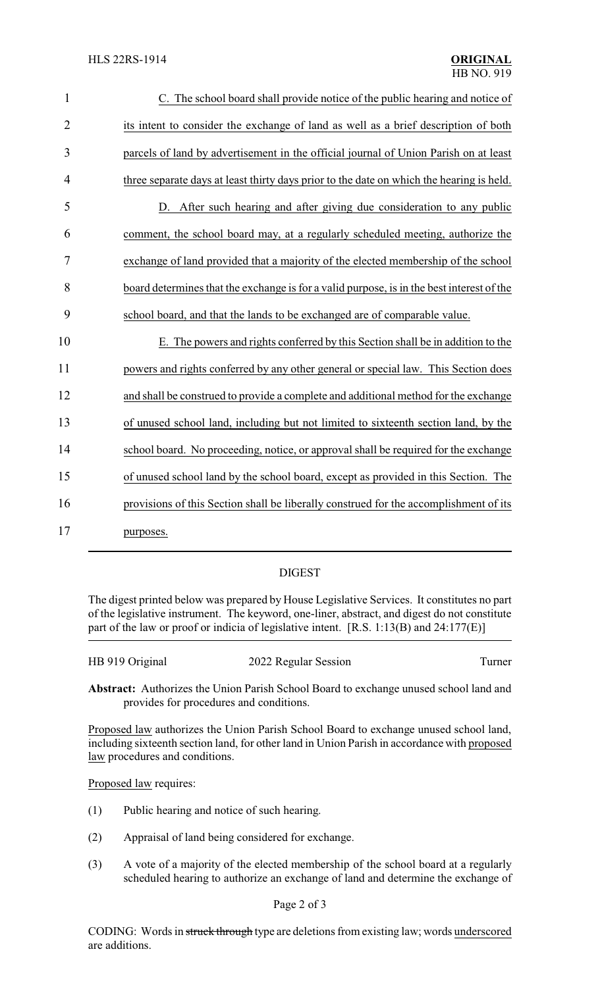| $\mathbf{1}$   | C. The school board shall provide notice of the public hearing and notice of              |
|----------------|-------------------------------------------------------------------------------------------|
| $\overline{2}$ | its intent to consider the exchange of land as well as a brief description of both        |
| 3              | parcels of land by advertisement in the official journal of Union Parish on at least      |
| 4              | three separate days at least thirty days prior to the date on which the hearing is held.  |
| 5              | D. After such hearing and after giving due consideration to any public                    |
| 6              | comment, the school board may, at a regularly scheduled meeting, authorize the            |
| $\overline{7}$ | exchange of land provided that a majority of the elected membership of the school         |
| 8              | board determines that the exchange is for a valid purpose, is in the best interest of the |
| 9              | school board, and that the lands to be exchanged are of comparable value.                 |
| 10             | E. The powers and rights conferred by this Section shall be in addition to the            |
| 11             | powers and rights conferred by any other general or special law. This Section does        |
| 12             | and shall be construed to provide a complete and additional method for the exchange       |
| 13             | of unused school land, including but not limited to sixteenth section land, by the        |
| 14             | school board. No proceeding, notice, or approval shall be required for the exchange       |
| 15             | of unused school land by the school board, except as provided in this Section. The        |
| 16             | provisions of this Section shall be liberally construed for the accomplishment of its     |
| 17             | purposes.                                                                                 |
|                |                                                                                           |

## DIGEST

The digest printed below was prepared by House Legislative Services. It constitutes no part of the legislative instrument. The keyword, one-liner, abstract, and digest do not constitute part of the law or proof or indicia of legislative intent. [R.S. 1:13(B) and 24:177(E)]

HB 919 Original 2022 Regular Session Turner

**Abstract:** Authorizes the Union Parish School Board to exchange unused school land and provides for procedures and conditions.

Proposed law authorizes the Union Parish School Board to exchange unused school land, including sixteenth section land, for other land in Union Parish in accordance with proposed law procedures and conditions.

Proposed law requires:

- (1) Public hearing and notice of such hearing.
- (2) Appraisal of land being considered for exchange.
- (3) A vote of a majority of the elected membership of the school board at a regularly scheduled hearing to authorize an exchange of land and determine the exchange of